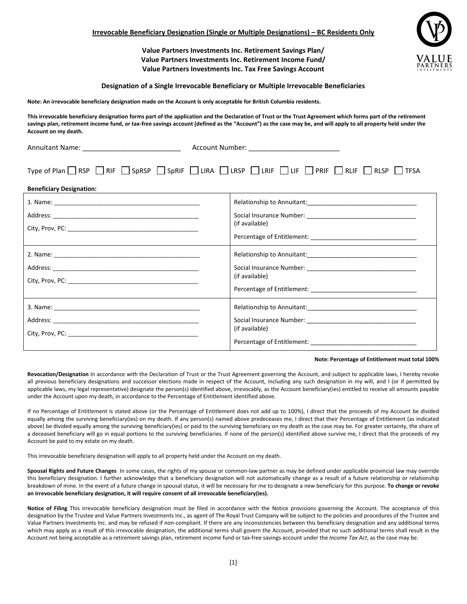**Value Partners Investments Inc. Retirement Savings Plan/ Value Partners Investments Inc. Retirement Income Fund/ Value Partners Investments Inc. Tax Free Savings Account**



**Note: An irrevocable beneficiary designation made on the Account is only acceptable for British Columbia residents.**

**This irrevocable beneficiary designation forms part of the application and the Declaration of Trust or the Trust Agreement which forms part of the retirement**  savings plan, retirement income fund, or tax-free savings account (defined as the "Account") as the case may be, and will apply to all property held under the **Account on my death.**

| <b>Annuitant Name:</b> |  |
|------------------------|--|

Annuitant Name: \_\_\_\_\_\_\_\_\_\_\_\_\_\_\_\_\_\_\_\_\_\_\_\_\_\_ Account Number: \_\_\_\_\_\_\_\_\_\_\_\_\_\_\_\_\_\_\_\_\_\_\_\_

| Type of Plan $\Box$ RSP $\Box$ RIF $\Box$ SpRSP $\Box$ SpRIF $\Box$ LIRA $\Box$ LRSP $\Box$ LRIF $\Box$ PRIF $\Box$ RLIF $\Box$ RLSP $\Box$ TFSA |  |  |
|--------------------------------------------------------------------------------------------------------------------------------------------------|--|--|

| <b>Beneficiary Designation:</b> |                |  |
|---------------------------------|----------------|--|
|                                 | (if available) |  |
|                                 | (if available) |  |
|                                 | (if available) |  |

## **Note: Percentage of Entitlement must total 100%**

Revocation/Designation In accordance with the Declaration of Trust or the Trust Agreement governing the Account, and subject to applicable laws, I hereby revoke all previous beneficiary designations and successor elections made in respect of the Account, including any such designation in my will, and I (or if permitted by applicable laws, my legal representative) designate the person(s) identified above, irrevocably, as the Account beneficiary(ies) entitled to receive all amounts payable under the Account upon my death, in accordance to the Percentage of Entitlement identified above.

If no Percentage of Entitlement is stated above (or the Percentage of Entitlement does not add up to 100%), I direct that the proceeds of my Account be divided equally among the surviving beneficiary(ies) on my death. If any person(s) named above predeceases me, I direct that their Percentage of Entitlement (as indicated above) be divided equally among the surviving beneficiary(ies) or paid to the surviving beneficiary on my death as the case may be. For greater certainty, the share of a deceased beneficiary will go in equal portions to the surviving beneficiaries. If none of the person(s) identified above survive me, I direct that the proceeds of my Account be paid to my estate on my death.

This irrevocable beneficiary designation will apply to all property held under the Account on my death.

**Spousal Rights and Future Changes** In some cases, the rights of my spouse or common-law partner as may be defined under applicable provincial law may override this beneficiary designation. I further acknowledge that a beneficiary designation will not automatically change as a result of a future relationship or relationship breakdown of mine. In the event of a future change in spousal status, it will be necessary for me to designate a new beneficiary for this purpose. **To change or revoke an irrevocable beneficiary designation, it will require consent of all irrevocable beneficiary(ies).**

**Notice of Filing** This irrevocable beneficiary designation must be filed in accordance with the Notice provisions governing the Account. The acceptance of this designation by the Trustee and Value Partners Investments Inc., as agent of The Royal Trust Company will be subject to the policies and procedures of the Trustee and Value Partners Investments Inc. and may be refused if non-compliant. If there are any inconsistencies between this beneficiary designation and any additional terms which may apply as a result of this irrevocable designation, the additional terms shall govern the Account, provided that no such additional terms shall result in the Account not being acceptable as a retirement savings plan, retirement income fund or tax-free savings account under the *Income Tax Act*, as the case may be.